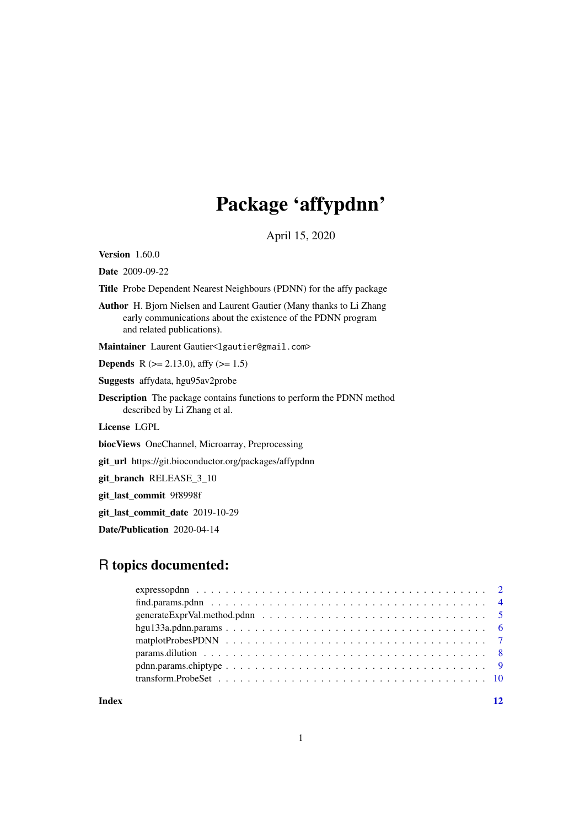# Package 'affypdnn'

April 15, 2020

<span id="page-0-0"></span>Version 1.60.0

Date 2009-09-22

Title Probe Dependent Nearest Neighbours (PDNN) for the affy package

Author H. Bjorn Nielsen and Laurent Gautier (Many thanks to Li Zhang early communications about the existence of the PDNN program and related publications).

Maintainer Laurent Gautier<lgautier@gmail.com>

**Depends** R ( $>= 2.13.0$ ), affy ( $>= 1.5$ )

Suggests affydata, hgu95av2probe

Description The package contains functions to perform the PDNN method described by Li Zhang et al.

License LGPL

biocViews OneChannel, Microarray, Preprocessing

git\_url https://git.bioconductor.org/packages/affypdnn

git\_branch RELEASE\_3\_10

git\_last\_commit 9f8998f

git\_last\_commit\_date 2019-10-29

Date/Publication 2020-04-14

# R topics documented:

| $pdnn.params. chiptype \dots \dots \dots \dots \dots \dots \dots \dots \dots \dots \dots \dots \dots \dots \dots \dots$ |  |  |  |  |  |  |  |  |  |  |  |  |  |  |  |
|-------------------------------------------------------------------------------------------------------------------------|--|--|--|--|--|--|--|--|--|--|--|--|--|--|--|
|                                                                                                                         |  |  |  |  |  |  |  |  |  |  |  |  |  |  |  |
|                                                                                                                         |  |  |  |  |  |  |  |  |  |  |  |  |  |  |  |

**Index** [12](#page-11-0)

1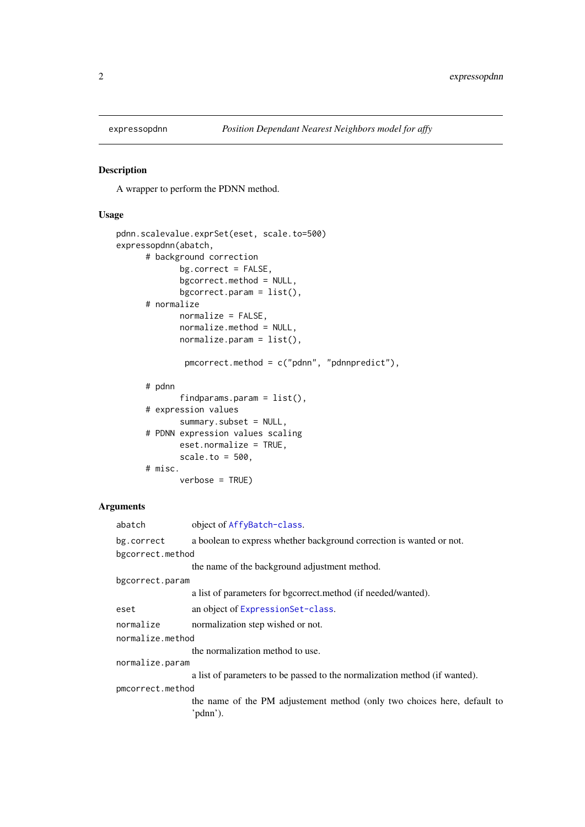<span id="page-1-1"></span><span id="page-1-0"></span>

# Description

A wrapper to perform the PDNN method.

# Usage

```
pdnn.scalevalue.exprSet(eset, scale.to=500)
expressopdnn(abatch,
      # background correction
             bg.correct = FALSE,
             bgcorrect.method = NULL,
             bgcorrect.param = list(),
      # normalize
             normalize = FALSE,
             normalize.method = NULL,
             normalize.parent = list(),pmcorrect.method = c("pdnn", "pdnnpredict"),
      # pdnn
             findparams.param = list(),
      # expression values
             summary.subset = NULL,
      # PDNN expression values scaling
             eset.normalize = TRUE,
             scale.to = 500,
      # misc.
             verbose = TRUE)
```
#### Arguments

| abatch<br>object of AffyBatch-class.                                               |  |
|------------------------------------------------------------------------------------|--|
| a boolean to express whether background correction is wanted or not.<br>bg.correct |  |
| bgcorrect.method                                                                   |  |
| the name of the background adjustment method.                                      |  |
| bgcorrect.param                                                                    |  |
| a list of parameters for bgcorrect.method (if needed/wanted).                      |  |
| an object of ExpressionSet-class.<br>eset                                          |  |
| normalize<br>normalization step wished or not.                                     |  |
| normalize.method                                                                   |  |
| the normalization method to use.                                                   |  |
| normalize.param                                                                    |  |
| a list of parameters to be passed to the normalization method (if wanted).         |  |
| pmcorrect.method                                                                   |  |
| the name of the PM adjustement method (only two choices here, default to           |  |
| 'pdnn').                                                                           |  |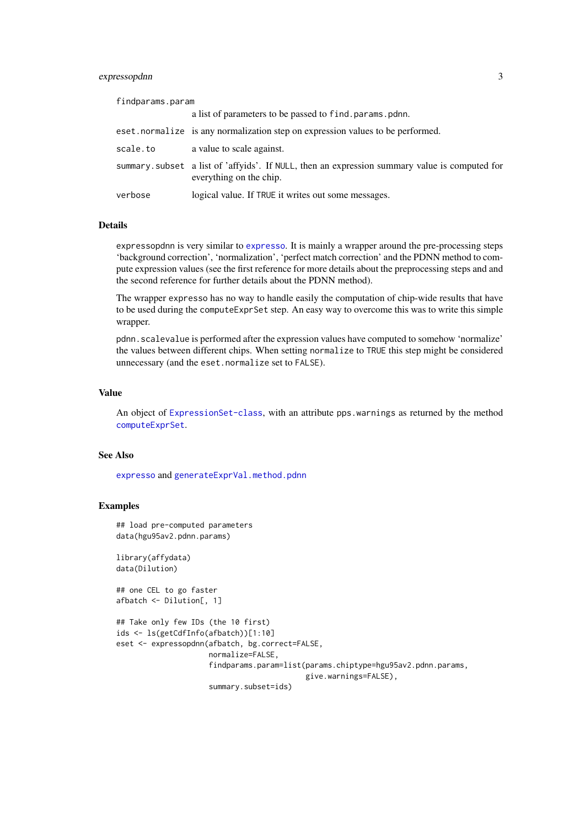# <span id="page-2-0"></span>expressopdnn 3

findparams.param

|          | a list of parameters to be passed to find params pdnn.                                                                    |
|----------|---------------------------------------------------------------------------------------------------------------------------|
|          | eset.normalize is any normalization step on expression values to be performed.                                            |
| scale.to | a value to scale against.                                                                                                 |
|          | summary. subset a list of 'affyids'. If NULL, then an expression summary value is computed for<br>everything on the chip. |
| verbose  | logical value. If TRUE it writes out some messages.                                                                       |

#### Details

expressopdnn is very similar to [expresso](#page-0-0). It is mainly a wrapper around the pre-processing steps 'background correction', 'normalization', 'perfect match correction' and the PDNN method to compute expression values (see the first reference for more details about the preprocessing steps and and the second reference for further details about the PDNN method).

The wrapper expresso has no way to handle easily the computation of chip-wide results that have to be used during the computeExprSet step. An easy way to overcome this was to write this simple wrapper.

pdnn.scalevalue is performed after the expression values have computed to somehow 'normalize' the values between different chips. When setting normalize to TRUE this step might be considered unnecessary (and the eset.normalize set to FALSE).

#### Value

An object of [ExpressionSet-class](#page-0-0), with an attribute pps.warnings as returned by the method [computeExprSet](#page-0-0).

#### See Also

[expresso](#page-0-0) and [generateExprVal.method.pdnn](#page-4-1)

#### Examples

```
## load pre-computed parameters
data(hgu95av2.pdnn.params)
```
library(affydata) data(Dilution)

```
## one CEL to go faster
afbatch <- Dilution[, 1]
```

```
## Take only few IDs (the 10 first)
ids <- ls(getCdfInfo(afbatch))[1:10]
eset <- expressopdnn(afbatch, bg.correct=FALSE,
                     normalize=FALSE,
                     findparams.param=list(params.chiptype=hgu95av2.pdnn.params,
                                           give.warnings=FALSE),
                     summary.subset=ids)
```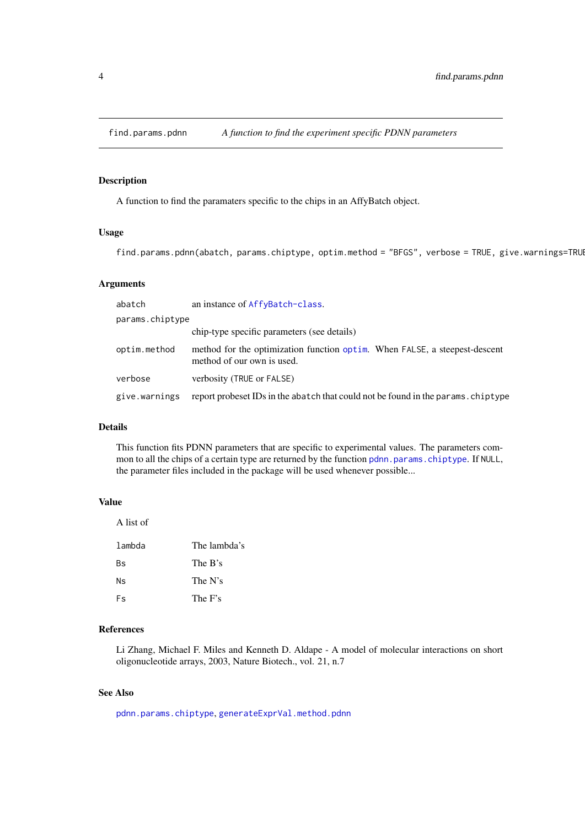<span id="page-3-1"></span><span id="page-3-0"></span>

# Description

A function to find the paramaters specific to the chips in an AffyBatch object.

# Usage

find.params.pdnn(abatch, params.chiptype, optim.method = "BFGS", verbose = TRUE, give.warnings=TRUI

# Arguments

| abatch          | an instance of AffyBatch-class.                                                                          |
|-----------------|----------------------------------------------------------------------------------------------------------|
| params.chiptype |                                                                                                          |
|                 | chip-type specific parameters (see details)                                                              |
| optim.method    | method for the optimization function optim. When FALSE, a steepest-descent<br>method of our own is used. |
| verbose         | verbosity (TRUE or FALSE)                                                                                |
| give.warnings   | report probeset IDs in the abatch that could not be found in the params. chiptype                        |

# Details

This function fits PDNN parameters that are specific to experimental values. The parameters common to all the chips of a certain type are returned by the function [pdnn.params.chiptype](#page-8-1). If NULL, the parameter files included in the package will be used whenever possible...

# Value

| A list of |              |
|-----------|--------------|
| lambda    | The lambda's |
| Вs        | The B's      |
| Ns        | The N's      |
| Fs        | The F's      |
|           |              |

# References

Li Zhang, Michael F. Miles and Kenneth D. Aldape - A model of molecular interactions on short oligonucleotide arrays, 2003, Nature Biotech., vol. 21, n.7

# See Also

[pdnn.params.chiptype](#page-8-1), [generateExprVal.method.pdnn](#page-4-1)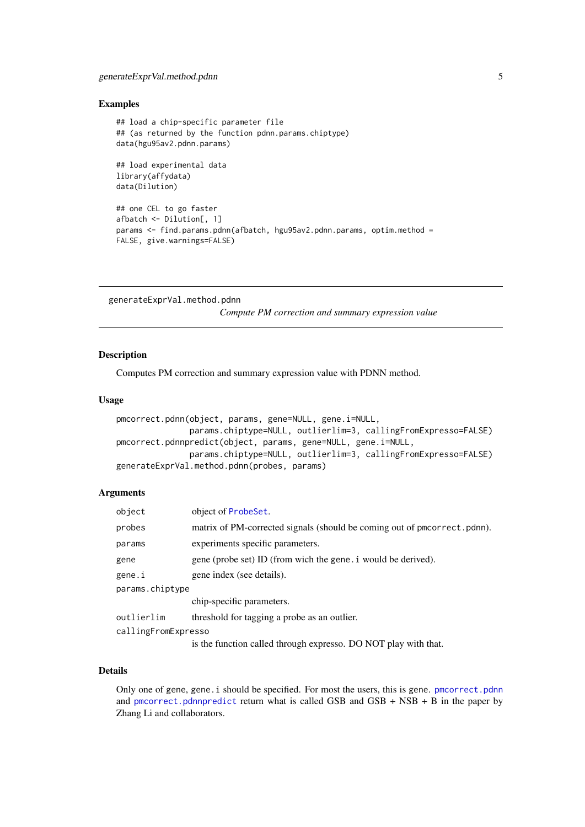#### <span id="page-4-0"></span>generateExprVal.method.pdnn 5

## Examples

```
## load a chip-specific parameter file
## (as returned by the function pdnn.params.chiptype)
data(hgu95av2.pdnn.params)
## load experimental data
library(affydata)
data(Dilution)
## one CEL to go faster
afbatch <- Dilution[, 1]
params <- find.params.pdnn(afbatch, hgu95av2.pdnn.params, optim.method =
FALSE, give.warnings=FALSE)
```
<span id="page-4-1"></span>generateExprVal.method.pdnn

*Compute PM correction and summary expression value*

#### <span id="page-4-2"></span>Description

Computes PM correction and summary expression value with PDNN method.

# Usage

```
pmcorrect.pdnn(object, params, gene=NULL, gene.i=NULL,
               params.chiptype=NULL, outlierlim=3, callingFromExpresso=FALSE)
pmcorrect.pdnnpredict(object, params, gene=NULL, gene.i=NULL,
               params.chiptype=NULL, outlierlim=3, callingFromExpresso=FALSE)
generateExprVal.method.pdnn(probes, params)
```
#### Arguments

| object              | object of ProbeSet.                                                      |
|---------------------|--------------------------------------------------------------------------|
| probes              | matrix of PM-corrected signals (should be coming out of pmcorrect.pdnn). |
| params              | experiments specific parameters.                                         |
| gene                | gene (probe set) ID (from wich the gene i would be derived).             |
| gene.i              | gene index (see details).                                                |
| params.chiptype     |                                                                          |
|                     | chip-specific parameters.                                                |
| outlierlim          | threshold for tagging a probe as an outlier.                             |
| callingFromExpresso |                                                                          |
|                     | is the function called through expresso. DO NOT play with that.          |

# Details

Only one of gene, gene.i should be specified. For most the users, this is gene. [pmcorrect.pdnn](#page-4-2) and [pmcorrect.pdnnpredict](#page-4-2) return what is called GSB and  $GSB + NSB + B$  in the paper by Zhang Li and collaborators.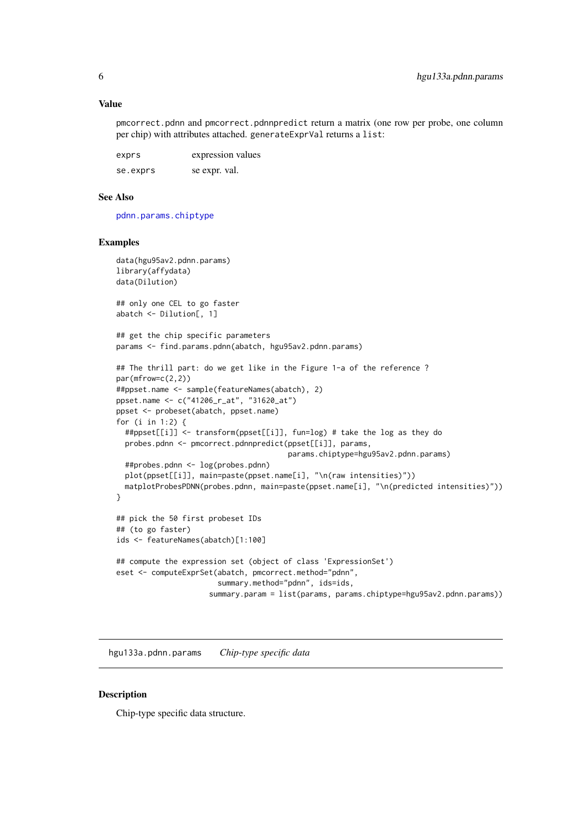#### <span id="page-5-0"></span>Value

pmcorrect.pdnn and pmcorrect.pdnnpredict return a matrix (one row per probe, one column per chip) with attributes attached. generateExprVal returns a list:

| exprs    | expression values |
|----------|-------------------|
| se.exprs | se expr. val.     |

#### See Also

[pdnn.params.chiptype](#page-8-1)

#### Examples

```
data(hgu95av2.pdnn.params)
library(affydata)
data(Dilution)
## only one CEL to go faster
abatch <- Dilution[, 1]
## get the chip specific parameters
params <- find.params.pdnn(abatch, hgu95av2.pdnn.params)
## The thrill part: do we get like in the Figure 1-a of the reference ?
par(mfrow=c(2,2))
##ppset.name <- sample(featureNames(abatch), 2)
ppset.name <- c("41206_r_at", "31620_at")
ppset <- probeset(abatch, ppset.name)
for (i in 1:2) {
  ##ppset[[i]] <- transform(ppset[[i]], fun=log) # take the log as they do
  probes.pdnn <- pmcorrect.pdnnpredict(ppset[[i]], params,
                                       params.chiptype=hgu95av2.pdnn.params)
  ##probes.pdnn <- log(probes.pdnn)
  plot(ppset[[i]], main=paste(ppset.name[i], "\n(raw intensities)"))
 matplotProbesPDNN(probes.pdnn, main=paste(ppset.name[i], "\n(predicted intensities)"))
}
## pick the 50 first probeset IDs
## (to go faster)
ids <- featureNames(abatch)[1:100]
## compute the expression set (object of class 'ExpressionSet')
eset <- computeExprSet(abatch, pmcorrect.method="pdnn",
                       summary.method="pdnn", ids=ids,
                     summary.param = list(params, params.chiptype=hgu95av2.pdnn.params))
```
hgu133a.pdnn.params *Chip-type specific data*

#### Description

Chip-type specific data structure.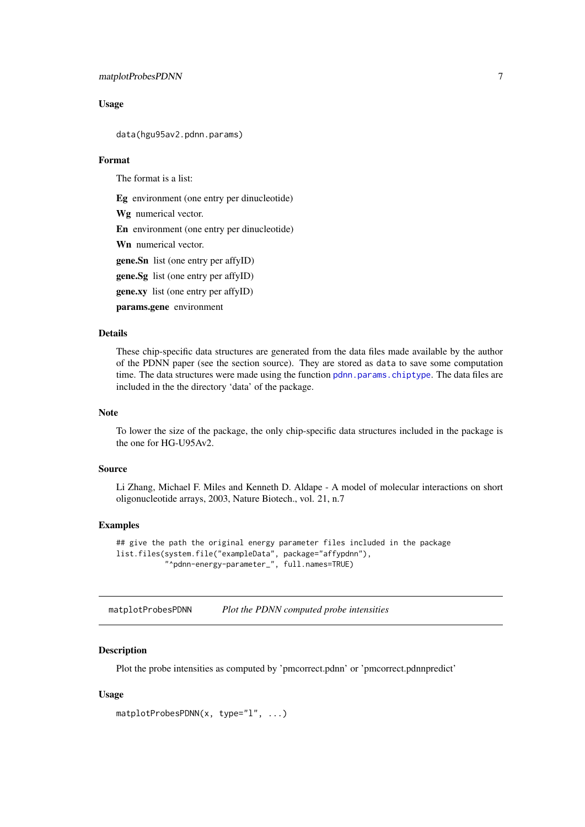#### <span id="page-6-0"></span>matplotProbesPDNN 7

### Usage

data(hgu95av2.pdnn.params)

# Format

The format is a list:

Eg environment (one entry per dinucleotide)

Wg numerical vector.

En environment (one entry per dinucleotide)

Wn numerical vector.

gene.Sn list (one entry per affyID)

gene.Sg list (one entry per affyID)

gene.xy list (one entry per affyID)

params.gene environment

# Details

These chip-specific data structures are generated from the data files made available by the author of the PDNN paper (see the section source). They are stored as data to save some computation time. The data structures were made using the function [pdnn.params.chiptype](#page-8-1). The data files are included in the the directory 'data' of the package.

# Note

To lower the size of the package, the only chip-specific data structures included in the package is the one for HG-U95Av2.

# Source

Li Zhang, Michael F. Miles and Kenneth D. Aldape - A model of molecular interactions on short oligonucleotide arrays, 2003, Nature Biotech., vol. 21, n.7

### Examples

## give the path the original energy parameter files included in the package list.files(system.file("exampleData", package="affypdnn"), "^pdnn-energy-parameter\_", full.names=TRUE)

matplotProbesPDNN *Plot the PDNN computed probe intensities*

# Description

Plot the probe intensities as computed by 'pmcorrect.pdnn' or 'pmcorrect.pdnnpredict'

# Usage

```
matplotProbesPDNN(x, type="l", ...)
```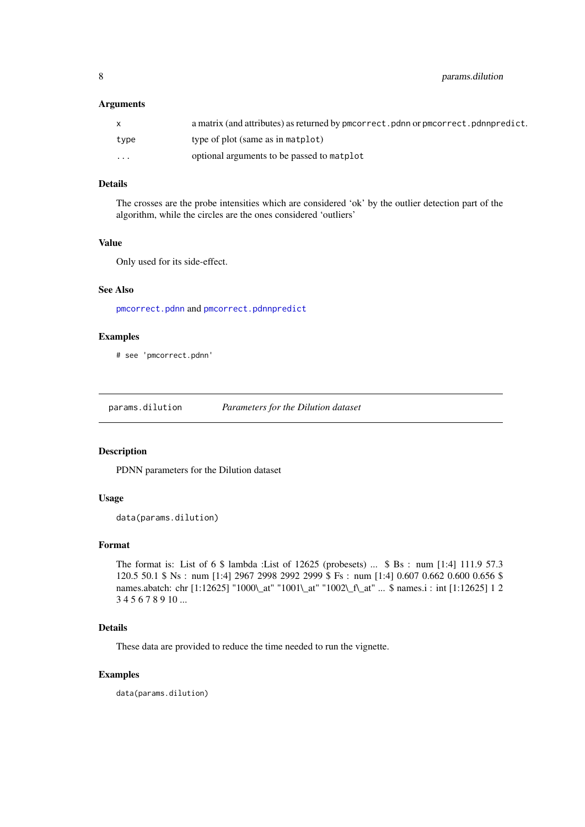<span id="page-7-0"></span>8 **8 params.dilution** 

### Arguments

|          | a matrix (and attributes) as returned by pmcorrect. pdnn or pmcorrect. pdnnpredict. |
|----------|-------------------------------------------------------------------------------------|
| type     | type of plot (same as in matplot)                                                   |
| $\cdots$ | optional arguments to be passed to matplot                                          |

# Details

The crosses are the probe intensities which are considered 'ok' by the outlier detection part of the algorithm, while the circles are the ones considered 'outliers'

# Value

Only used for its side-effect.

# See Also

[pmcorrect.pdnn](#page-4-2) and [pmcorrect.pdnnpredict](#page-4-2)

# Examples

# see 'pmcorrect.pdnn'

params.dilution *Parameters for the Dilution dataset*

# Description

PDNN parameters for the Dilution dataset

# Usage

data(params.dilution)

#### Format

The format is: List of 6 \$ lambda :List of 12625 (probesets) ... \$ Bs : num [1:4] 111.9 57.3 120.5 50.1 \$ Ns : num [1:4] 2967 2998 2992 2999 \$ Fs : num [1:4] 0.607 0.662 0.600 0.656 \$ names.abatch: chr [1:12625] "1000\\_at" "1001\\_at" "1002\\_f\\_at" ... \$ names.i : int [1:12625] 1 2 3 4 5 6 7 8 9 10 ...

#### Details

These data are provided to reduce the time needed to run the vignette.

# Examples

data(params.dilution)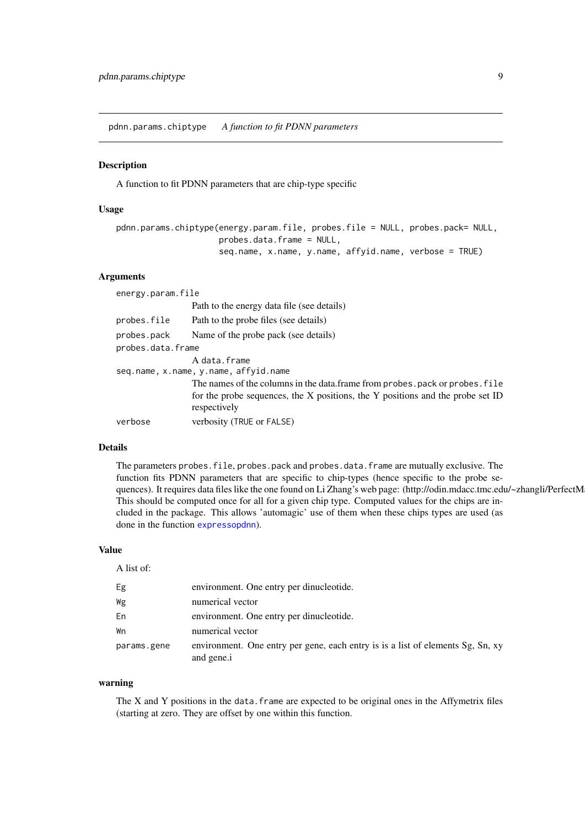<span id="page-8-1"></span><span id="page-8-0"></span>pdnn.params.chiptype *A function to fit PDNN parameters*

# Description

A function to fit PDNN parameters that are chip-type specific

# Usage

```
pdnn.params.chiptype(energy.param.file, probes.file = NULL, probes.pack= NULL,
                     probes.data.frame = NULL,
                     seq.name, x.name, y.name, affyid.name, verbose = TRUE)
```
# Arguments

| energy.param.file |                                                                                                                                                                               |  |  |  |  |
|-------------------|-------------------------------------------------------------------------------------------------------------------------------------------------------------------------------|--|--|--|--|
|                   | Path to the energy data file (see details)                                                                                                                                    |  |  |  |  |
| probes.file       | Path to the probe files (see details)                                                                                                                                         |  |  |  |  |
| probes.pack       | Name of the probe pack (see details)                                                                                                                                          |  |  |  |  |
| probes.data.frame |                                                                                                                                                                               |  |  |  |  |
|                   | A data.frame                                                                                                                                                                  |  |  |  |  |
|                   | seq.name, x.name, y.name, affyid.name                                                                                                                                         |  |  |  |  |
|                   | The names of the columns in the data. frame from probes pack or probes file<br>for the probe sequences, the X positions, the Y positions and the probe set ID<br>respectively |  |  |  |  |
| verbose           | verbosity (TRUE or FALSE)                                                                                                                                                     |  |  |  |  |

# Details

The parameters probes. file, probes. pack and probes. data. frame are mutually exclusive. The function fits PDNN parameters that are specific to chip-types (hence specific to the probe sequences). It requires data files like the one found on Li Zhang's web page: (http://odin.mdacc.tmc.edu/~zhangli/PerfectM This should be computed once for all for a given chip type. Computed values for the chips are included in the package. This allows 'automagic' use of them when these chips types are used (as done in the function [expressopdnn](#page-1-1)).

### Value

A list of:

| Eg          | environment. One entry per dinucleotide.                                                      |
|-------------|-----------------------------------------------------------------------------------------------|
| Wg          | numerical vector                                                                              |
| En          | environment. One entry per dinucleotide.                                                      |
| Wn          | numerical vector                                                                              |
| params.gene | environment. One entry per gene, each entry is is a list of elements Sg, Sn, xy<br>and gene.i |

#### warning

The X and Y positions in the data. frame are expected to be original ones in the Affymetrix files (starting at zero. They are offset by one within this function.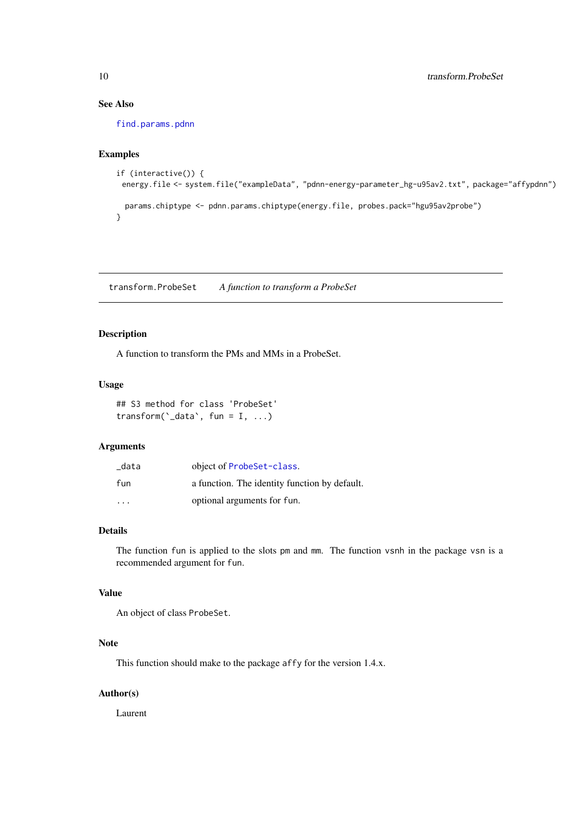# See Also

[find.params.pdnn](#page-3-1)

#### Examples

```
if (interactive()) {
 energy.file <- system.file("exampleData", "pdnn-energy-parameter_hg-u95av2.txt", package="affypdnn")
 params.chiptype <- pdnn.params.chiptype(energy.file, probes.pack="hgu95av2probe")
}
```
transform.ProbeSet *A function to transform a ProbeSet*

# Description

A function to transform the PMs and MMs in a ProbeSet.

# Usage

```
## S3 method for class 'ProbeSet'
transform(\text{`_data`}, fun = I, ...)
```
# Arguments

| _data                   | object of ProbeSet-class.                     |
|-------------------------|-----------------------------------------------|
| fun                     | a function. The identity function by default. |
| $\cdot$ $\cdot$ $\cdot$ | optional arguments for fun.                   |

# Details

The function fun is applied to the slots pm and mm. The function vsnh in the package vsn is a recommended argument for fun.

# Value

An object of class ProbeSet.

# Note

This function should make to the package affy for the version 1.4.x.

# Author(s)

Laurent

<span id="page-9-0"></span>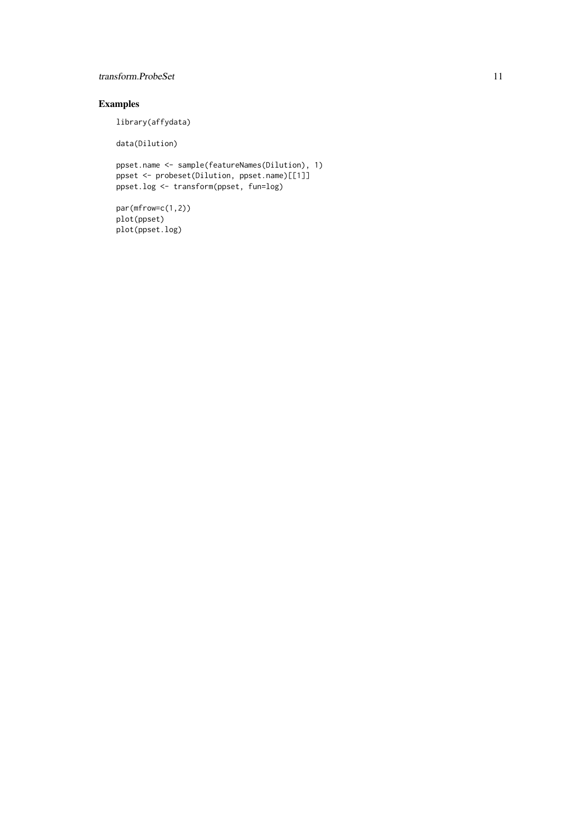# transform.ProbeSet 11

# Examples

library(affydata)

data(Dilution)

```
ppset.name <- sample(featureNames(Dilution), 1)
ppset <- probeset(Dilution, ppset.name)[[1]]
ppset.log <- transform(ppset, fun=log)
```

```
par(mfrow=c(1,2))
plot(ppset)
plot(ppset.log)
```